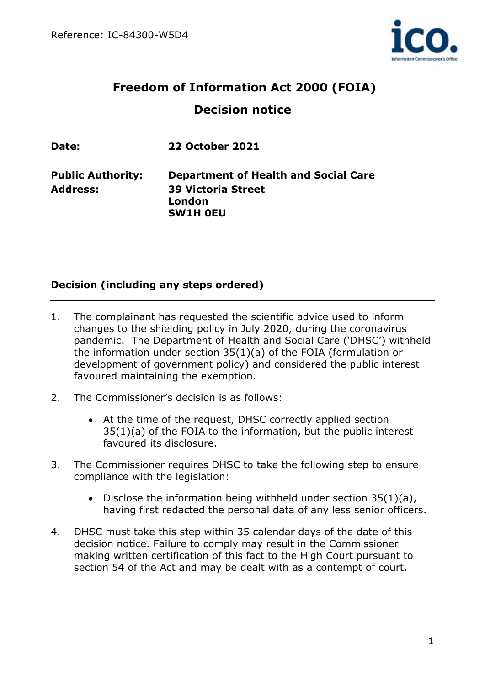

# **Freedom of Information Act 2000 (FOIA) Decision notice**

| <b>Date:</b>             | <b>22 October 2021</b>                                 |
|--------------------------|--------------------------------------------------------|
| <b>Public Authority:</b> | <b>Department of Health and Social Care</b>            |
| Address:                 | <b>39 Victoria Street</b><br>London<br><b>SW1H OEU</b> |
|                          |                                                        |

## **Decision (including any steps ordered)**

- 1. The complainant has requested the scientific advice used to inform changes to the shielding policy in July 2020, during the coronavirus pandemic. The Department of Health and Social Care ('DHSC') withheld the information under section 35(1)(a) of the FOIA (formulation or development of government policy) and considered the public interest favoured maintaining the exemption.
- 2. The Commissioner's decision is as follows:
	- At the time of the request, DHSC correctly applied section 35(1)(a) of the FOIA to the information, but the public interest favoured its disclosure.
- 3. The Commissioner requires DHSC to take the following step to ensure compliance with the legislation:
	- Disclose the information being withheld under section  $35(1)(a)$ , having first redacted the personal data of any less senior officers.
- 4. DHSC must take this step within 35 calendar days of the date of this decision notice. Failure to comply may result in the Commissioner making written certification of this fact to the High Court pursuant to section 54 of the Act and may be dealt with as a contempt of court.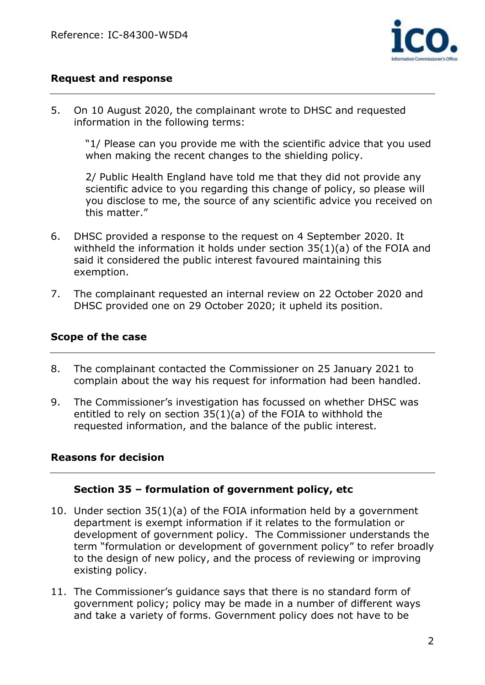

## **Request and response**

5. On 10 August 2020, the complainant wrote to DHSC and requested information in the following terms:

"1/ Please can you provide me with the scientific advice that you used when making the recent changes to the shielding policy.

2/ Public Health England have told me that they did not provide any scientific advice to you regarding this change of policy, so please will you disclose to me, the source of any scientific advice you received on this matter."

- 6. DHSC provided a response to the request on 4 September 2020. It withheld the information it holds under section 35(1)(a) of the FOIA and said it considered the public interest favoured maintaining this exemption.
- 7. The complainant requested an internal review on 22 October 2020 and DHSC provided one on 29 October 2020; it upheld its position.

#### **Scope of the case**

- 8. The complainant contacted the Commissioner on 25 January 2021 to complain about the way his request for information had been handled.
- 9. The Commissioner's investigation has focussed on whether DHSC was entitled to rely on section 35(1)(a) of the FOIA to withhold the requested information, and the balance of the public interest.

#### **Reasons for decision**

## **Section 35 – formulation of government policy, etc**

- 10. Under section 35(1)(a) of the FOIA information held by a government department is exempt information if it relates to the formulation or development of government policy. The Commissioner understands the term "formulation or development of government policy" to refer broadly to the design of new policy, and the process of reviewing or improving existing policy.
- 11. The Commissioner's guidance says that there is no standard form of government policy; policy may be made in a number of different ways and take a variety of forms. Government policy does not have to be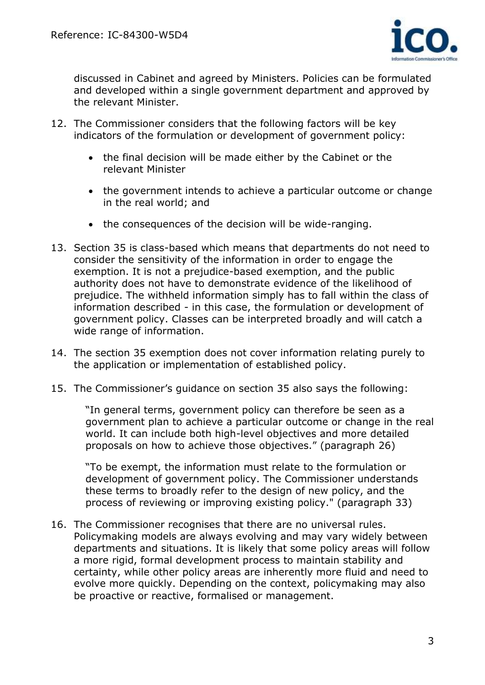

discussed in Cabinet and agreed by Ministers. Policies can be formulated and developed within a single government department and approved by the relevant Minister.

- 12. The Commissioner considers that the following factors will be key indicators of the formulation or development of government policy:
	- the final decision will be made either by the Cabinet or the relevant Minister
	- the government intends to achieve a particular outcome or change in the real world; and
	- the consequences of the decision will be wide-ranging.
- 13. Section 35 is class-based which means that departments do not need to consider the sensitivity of the information in order to engage the exemption. It is not a prejudice-based exemption, and the public authority does not have to demonstrate evidence of the likelihood of prejudice. The withheld information simply has to fall within the class of information described - in this case, the formulation or development of government policy. Classes can be interpreted broadly and will catch a wide range of information.
- 14. The section 35 exemption does not cover information relating purely to the application or implementation of established policy.
- 15. The Commissioner's guidance on section 35 also says the following:

"In general terms, government policy can therefore be seen as a government plan to achieve a particular outcome or change in the real world. It can include both high-level objectives and more detailed proposals on how to achieve those objectives." (paragraph 26)

"To be exempt, the information must relate to the formulation or development of government policy. The Commissioner understands these terms to broadly refer to the design of new policy, and the process of reviewing or improving existing policy." (paragraph 33)

16. The Commissioner recognises that there are no universal rules. Policymaking models are always evolving and may vary widely between departments and situations. It is likely that some policy areas will follow a more rigid, formal development process to maintain stability and certainty, while other policy areas are inherently more fluid and need to evolve more quickly. Depending on the context, policymaking may also be proactive or reactive, formalised or management.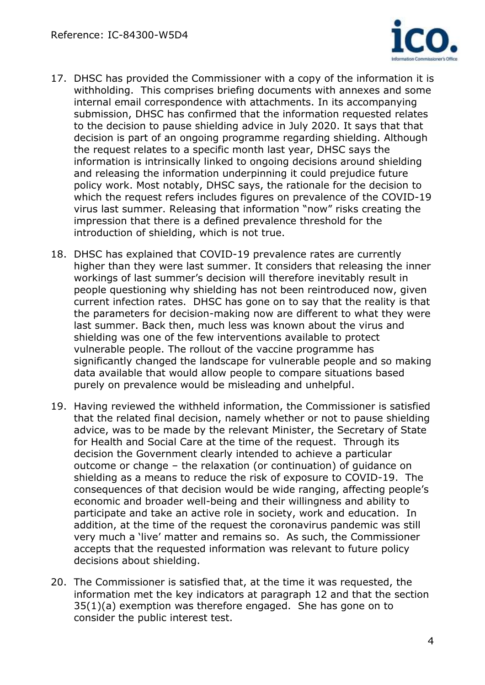

- 17. DHSC has provided the Commissioner with a copy of the information it is withholding. This comprises briefing documents with annexes and some internal email correspondence with attachments. In its accompanying submission, DHSC has confirmed that the information requested relates to the decision to pause shielding advice in July 2020. It says that that decision is part of an ongoing programme regarding shielding. Although the request relates to a specific month last year, DHSC says the information is intrinsically linked to ongoing decisions around shielding and releasing the information underpinning it could prejudice future policy work. Most notably, DHSC says, the rationale for the decision to which the request refers includes figures on prevalence of the COVID-19 virus last summer. Releasing that information "now" risks creating the impression that there is a defined prevalence threshold for the introduction of shielding, which is not true.
- 18. DHSC has explained that COVID-19 prevalence rates are currently higher than they were last summer. It considers that releasing the inner workings of last summer's decision will therefore inevitably result in people questioning why shielding has not been reintroduced now, given current infection rates. DHSC has gone on to say that the reality is that the parameters for decision-making now are different to what they were last summer. Back then, much less was known about the virus and shielding was one of the few interventions available to protect vulnerable people. The rollout of the vaccine programme has significantly changed the landscape for vulnerable people and so making data available that would allow people to compare situations based purely on prevalence would be misleading and unhelpful.
- 19. Having reviewed the withheld information, the Commissioner is satisfied that the related final decision, namely whether or not to pause shielding advice, was to be made by the relevant Minister, the Secretary of State for Health and Social Care at the time of the request. Through its decision the Government clearly intended to achieve a particular outcome or change – the relaxation (or continuation) of guidance on shielding as a means to reduce the risk of exposure to COVID-19. The consequences of that decision would be wide ranging, affecting people's economic and broader well-being and their willingness and ability to participate and take an active role in society, work and education. In addition, at the time of the request the coronavirus pandemic was still very much a 'live' matter and remains so. As such, the Commissioner accepts that the requested information was relevant to future policy decisions about shielding.
- 20. The Commissioner is satisfied that, at the time it was requested, the information met the key indicators at paragraph 12 and that the section 35(1)(a) exemption was therefore engaged. She has gone on to consider the public interest test.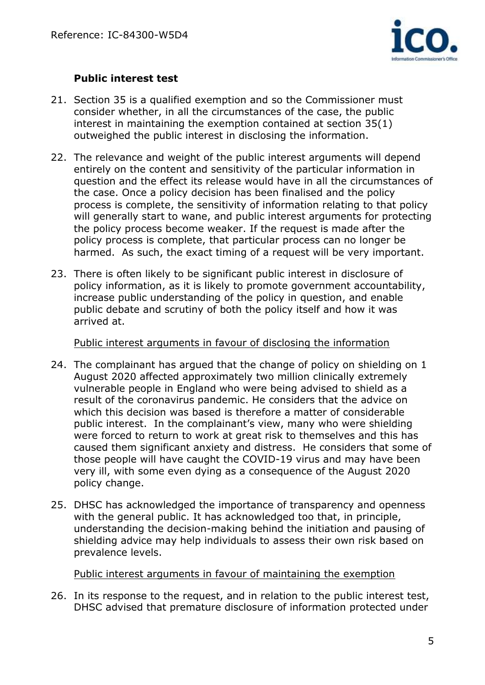

## **Public interest test**

- 21. Section 35 is a qualified exemption and so the Commissioner must consider whether, in all the circumstances of the case, the public interest in maintaining the exemption contained at section 35(1) outweighed the public interest in disclosing the information.
- 22. The relevance and weight of the public interest arguments will depend entirely on the content and sensitivity of the particular information in question and the effect its release would have in all the circumstances of the case. Once a policy decision has been finalised and the policy process is complete, the sensitivity of information relating to that policy will generally start to wane, and public interest arguments for protecting the policy process become weaker. If the request is made after the policy process is complete, that particular process can no longer be harmed. As such, the exact timing of a request will be very important.
- 23. There is often likely to be significant public interest in disclosure of policy information, as it is likely to promote government accountability, increase public understanding of the policy in question, and enable public debate and scrutiny of both the policy itself and how it was arrived at.

Public interest arguments in favour of disclosing the information

- 24. The complainant has argued that the change of policy on shielding on 1 August 2020 affected approximately two million clinically extremely vulnerable people in England who were being advised to shield as a result of the coronavirus pandemic. He considers that the advice on which this decision was based is therefore a matter of considerable public interest. In the complainant's view, many who were shielding were forced to return to work at great risk to themselves and this has caused them significant anxiety and distress. He considers that some of those people will have caught the COVID-19 virus and may have been very ill, with some even dying as a consequence of the August 2020 policy change.
- 25. DHSC has acknowledged the importance of transparency and openness with the general public. It has acknowledged too that, in principle, understanding the decision-making behind the initiation and pausing of shielding advice may help individuals to assess their own risk based on prevalence levels.

Public interest arguments in favour of maintaining the exemption

26. In its response to the request, and in relation to the public interest test, DHSC advised that premature disclosure of information protected under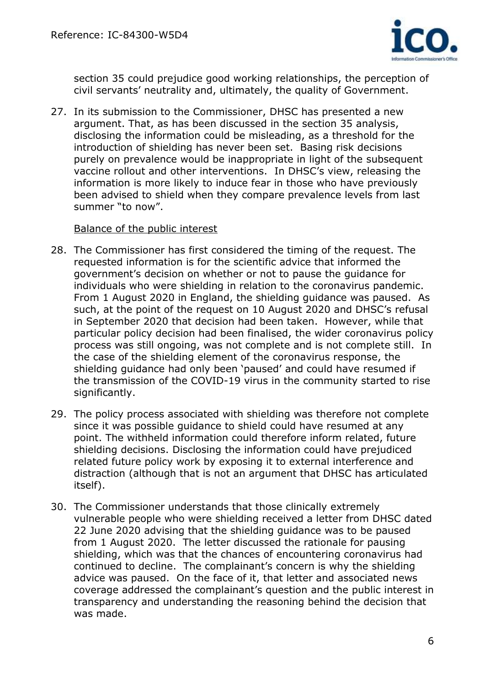

section 35 could prejudice good working relationships, the perception of civil servants' neutrality and, ultimately, the quality of Government.

27. In its submission to the Commissioner, DHSC has presented a new argument. That, as has been discussed in the section 35 analysis, disclosing the information could be misleading, as a threshold for the introduction of shielding has never been set. Basing risk decisions purely on prevalence would be inappropriate in light of the subsequent vaccine rollout and other interventions. In DHSC's view, releasing the information is more likely to induce fear in those who have previously been advised to shield when they compare prevalence levels from last summer "to now".

#### Balance of the public interest

- 28. The Commissioner has first considered the timing of the request. The requested information is for the scientific advice that informed the government's decision on whether or not to pause the guidance for individuals who were shielding in relation to the coronavirus pandemic. From 1 August 2020 in England, the shielding guidance was paused. As such, at the point of the request on 10 August 2020 and DHSC's refusal in September 2020 that decision had been taken. However, while that particular policy decision had been finalised, the wider coronavirus policy process was still ongoing, was not complete and is not complete still. In the case of the shielding element of the coronavirus response, the shielding guidance had only been 'paused' and could have resumed if the transmission of the COVID-19 virus in the community started to rise significantly.
- 29. The policy process associated with shielding was therefore not complete since it was possible guidance to shield could have resumed at any point. The withheld information could therefore inform related, future shielding decisions. Disclosing the information could have prejudiced related future policy work by exposing it to external interference and distraction (although that is not an argument that DHSC has articulated itself).
- 30. The Commissioner understands that those clinically extremely vulnerable people who were shielding received a letter from DHSC dated 22 June 2020 advising that the shielding guidance was to be paused from 1 August 2020. The letter discussed the rationale for pausing shielding, which was that the chances of encountering coronavirus had continued to decline. The complainant's concern is why the shielding advice was paused. On the face of it, that letter and associated news coverage addressed the complainant's question and the public interest in transparency and understanding the reasoning behind the decision that was made.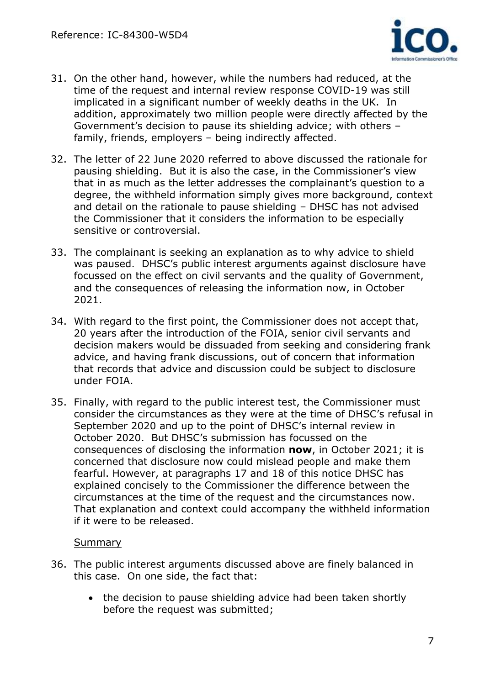

- 31. On the other hand, however, while the numbers had reduced, at the time of the request and internal review response COVID-19 was still implicated in a significant number of weekly deaths in the UK. In addition, approximately two million people were directly affected by the Government's decision to pause its shielding advice; with others – family, friends, employers – being indirectly affected.
- 32. The letter of 22 June 2020 referred to above discussed the rationale for pausing shielding. But it is also the case, in the Commissioner's view that in as much as the letter addresses the complainant's question to a degree, the withheld information simply gives more background, context and detail on the rationale to pause shielding – DHSC has not advised the Commissioner that it considers the information to be especially sensitive or controversial.
- 33. The complainant is seeking an explanation as to why advice to shield was paused. DHSC's public interest arguments against disclosure have focussed on the effect on civil servants and the quality of Government, and the consequences of releasing the information now, in October 2021.
- 34. With regard to the first point, the Commissioner does not accept that, 20 years after the introduction of the FOIA, senior civil servants and decision makers would be dissuaded from seeking and considering frank advice, and having frank discussions, out of concern that information that records that advice and discussion could be subject to disclosure under FOIA.
- 35. Finally, with regard to the public interest test, the Commissioner must consider the circumstances as they were at the time of DHSC's refusal in September 2020 and up to the point of DHSC's internal review in October 2020. But DHSC's submission has focussed on the consequences of disclosing the information **now**, in October 2021; it is concerned that disclosure now could mislead people and make them fearful. However, at paragraphs 17 and 18 of this notice DHSC has explained concisely to the Commissioner the difference between the circumstances at the time of the request and the circumstances now. That explanation and context could accompany the withheld information if it were to be released.

#### **Summary**

- 36. The public interest arguments discussed above are finely balanced in this case. On one side, the fact that:
	- the decision to pause shielding advice had been taken shortly before the request was submitted;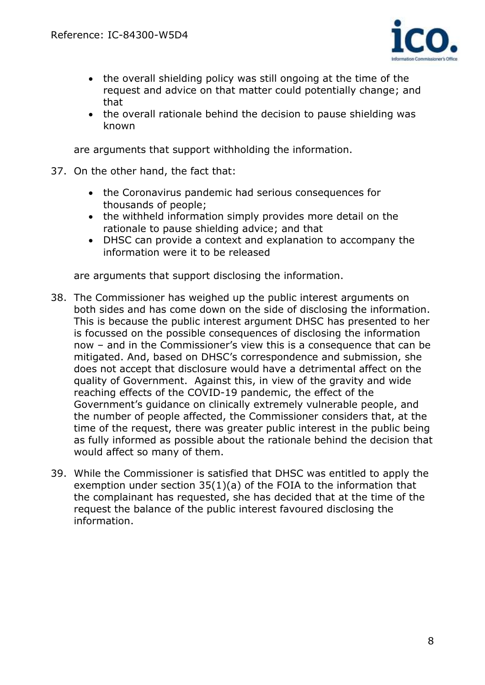

- the overall shielding policy was still ongoing at the time of the request and advice on that matter could potentially change; and that
- the overall rationale behind the decision to pause shielding was known

are arguments that support withholding the information.

- 37. On the other hand, the fact that:
	- the Coronavirus pandemic had serious consequences for thousands of people;
	- the withheld information simply provides more detail on the rationale to pause shielding advice; and that
	- DHSC can provide a context and explanation to accompany the information were it to be released

are arguments that support disclosing the information.

- 38. The Commissioner has weighed up the public interest arguments on both sides and has come down on the side of disclosing the information. This is because the public interest argument DHSC has presented to her is focussed on the possible consequences of disclosing the information now – and in the Commissioner's view this is a consequence that can be mitigated. And, based on DHSC's correspondence and submission, she does not accept that disclosure would have a detrimental affect on the quality of Government. Against this, in view of the gravity and wide reaching effects of the COVID-19 pandemic, the effect of the Government's guidance on clinically extremely vulnerable people, and the number of people affected, the Commissioner considers that, at the time of the request, there was greater public interest in the public being as fully informed as possible about the rationale behind the decision that would affect so many of them.
- 39. While the Commissioner is satisfied that DHSC was entitled to apply the exemption under section 35(1)(a) of the FOIA to the information that the complainant has requested, she has decided that at the time of the request the balance of the public interest favoured disclosing the information.